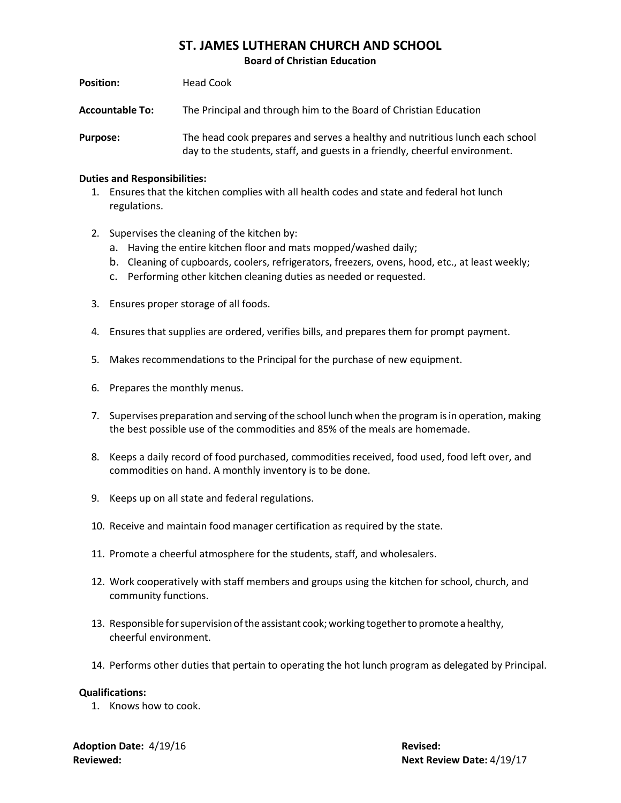## **ST. JAMES LUTHERAN CHURCH AND SCHOOL**

**Board of Christian Education**

| <b>Position:</b>       | Head Cook                                                                                                                                                   |
|------------------------|-------------------------------------------------------------------------------------------------------------------------------------------------------------|
| <b>Accountable To:</b> | The Principal and through him to the Board of Christian Education                                                                                           |
| <b>Purpose:</b>        | The head cook prepares and serves a healthy and nutritious lunch each school<br>day to the students, staff, and guests in a friendly, cheerful environment. |

## **Duties and Responsibilities:**

- 1. Ensures that the kitchen complies with all health codes and state and federal hot lunch regulations.
- 2. Supervises the cleaning of the kitchen by:
	- a. Having the entire kitchen floor and mats mopped/washed daily;
	- b. Cleaning of cupboards, coolers, refrigerators, freezers, ovens, hood, etc., at least weekly;
	- c. Performing other kitchen cleaning duties as needed or requested.
- 3. Ensures proper storage of all foods.
- 4. Ensures that supplies are ordered, verifies bills, and prepares them for prompt payment.
- 5. Makes recommendations to the Principal for the purchase of new equipment.
- 6. Prepares the monthly menus.
- 7. Supervises preparation and serving ofthe school lunch when the program isin operation, making the best possible use of the commodities and 85% of the meals are homemade.
- 8. Keeps a daily record of food purchased, commodities received, food used, food left over, and commodities on hand. A monthly inventory is to be done.
- 9. Keeps up on all state and federal regulations.
- 10. Receive and maintain food manager certification as required by the state.
- 11. Promote a cheerful atmosphere for the students, staff, and wholesalers.
- 12. Work cooperatively with staff members and groups using the kitchen for school, church, and community functions.
- 13. Responsible for supervision of the assistant cook; working together to promote a healthy, cheerful environment.
- 14. Performs other duties that pertain to operating the hot lunch program as delegated by Principal.

## **Qualifications:**

1. Knows how to cook.